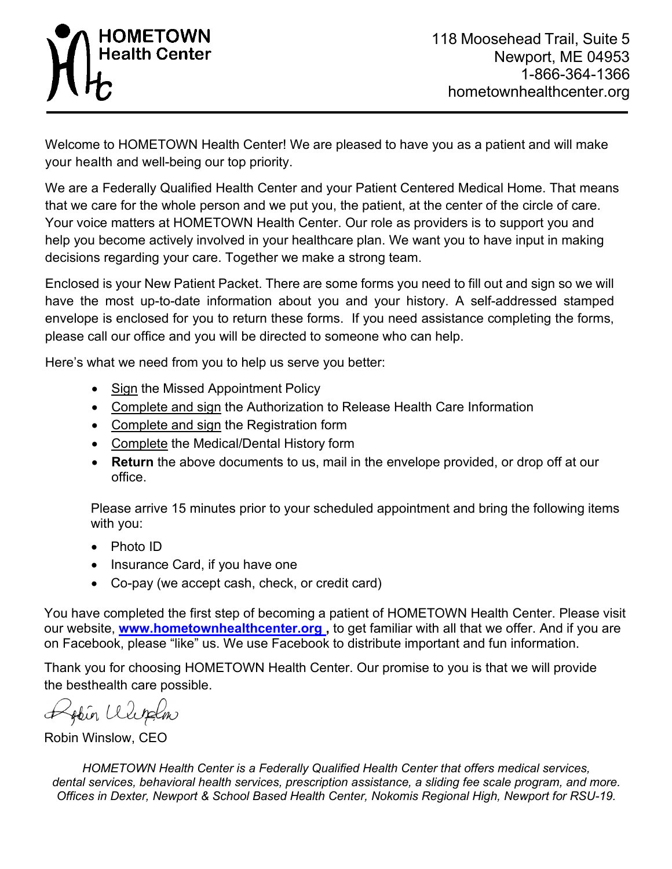

Welcome to HOMETOWN Health Center! We are pleased to have you as a patient and will make your health and well-being our top priority.

We are a Federally Qualified Health Center and your Patient Centered Medical Home. That means that we care for the whole person and we put you, the patient, at the center of the circle of care. Your voice matters at HOMETOWN Health Center. Our role as providers is to support you and help you become actively involved in your healthcare plan. We want you to have input in making decisions regarding your care. Together we make a strong team.

Enclosed is your New Patient Packet. There are some forms you need to fill out and sign so we will have the most up-to-date information about you and your history. A self-addressed stamped envelope is enclosed for you to return these forms. If you need assistance completing the forms, please call our office and you will be directed to someone who can help.

Here's what we need from you to help us serve you better:

- Sign the Missed Appointment Policy
- Complete and sign the Authorization to Release Health Care Information
- Complete and sign the Registration form
- Complete the Medical/Dental History form
- **Return** the above documents to us, mail in the envelope provided, or drop off at our office.

Please arrive 15 minutes prior to your scheduled appointment and bring the following items with you:

- Photo ID
- Insurance Card, if you have one
- Co-pay (we accept cash, check, or credit card)

You have completed the first step of becoming a patient of HOMETOWN Health Center. Please visit our website, **www.hometownhealthcenter.org ,** to get familiar with all that we offer. And if you are on Facebook, please "like" us. We use Facebook to distribute important and fun information.

Thank you for choosing HOMETOWN Health Center. Our promise to you is that we will provide the besthealth care possible.

Zobin Wurklow

Robin Winslow, CEO

*HOMETOWN Health Center is a Federally Qualified Health Center that offers medical services, dental services, behavioral health services, prescription assistance, a sliding fee scale program, and more. Offices in Dexter, Newport & School Based Health Center, Nokomis Regional High, Newport for RSU-19.*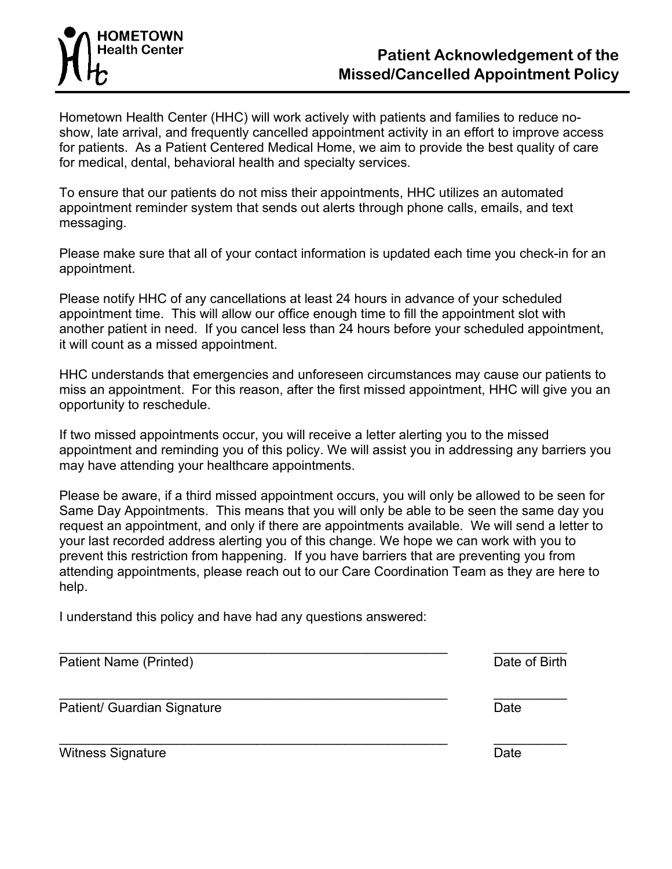

Hometown Health Center (HHC) will work actively with patients and families to reduce noshow, late arrival, and frequently cancelled appointment activity in an effort to improve access for patients. As a Patient Centered Medical Home, we aim to provide the best quality of care for medical, dental, behavioral health and specialty services.

To ensure that our patients do not miss their appointments, HHC utilizes an automated appointment reminder system that sends out alerts through phone calls, emails, and text messaging.

Please make sure that all of your contact information is updated each time you check-in for an appointment.

Please notify HHC of any cancellations at least 24 hours in advance of your scheduled appointment time. This will allow our office enough time to fill the appointment slot with another patient in need. If you cancel less than 24 hours before your scheduled appointment, it will count as a missed appointment.

HHC understands that emergencies and unforeseen circumstances may cause our patients to miss an appointment. For this reason, after the first missed appointment, HHC will give you an opportunity to reschedule.

If two missed appointments occur, you will receive a letter alerting you to the missed appointment and reminding you of this policy. We will assist you in addressing any barriers you may have attending your healthcare appointments.

Please be aware, if a third missed appointment occurs, you will only be allowed to be seen for Same Day Appointments. This means that you will only be able to be seen the same day you request an appointment, and only if there are appointments available. We will send a letter to your last recorded address alerting you of this change. We hope we can work with you to prevent this restriction from happening. If you have barriers that are preventing you from attending appointments, please reach out to our Care Coordination Team as they are here to help.

I understand this policy and have had any questions answered:

| <b>Patient Name (Printed)</b> | Date of Birth |
|-------------------------------|---------------|
| Patient/ Guardian Signature   | Date          |
| <b>Witness Signature</b>      | Date          |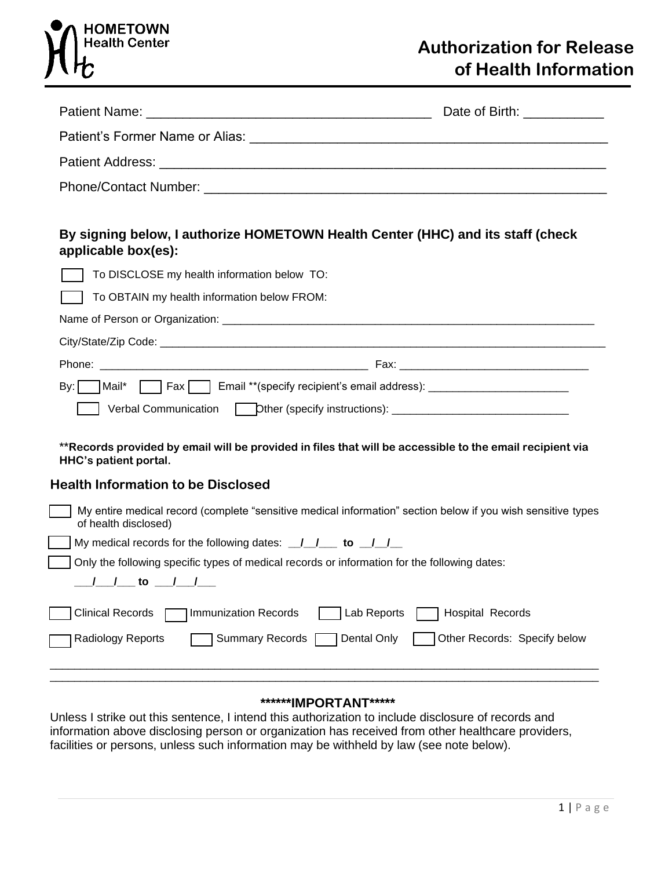# **HOMETOWN Health Center**

|                                                                                                                                                                                                                                | Date of Birth: Date of Birth: |
|--------------------------------------------------------------------------------------------------------------------------------------------------------------------------------------------------------------------------------|-------------------------------|
| Patient's Former Name or Alias:<br><u> 1989 - Jan Salaman Salaman (j. 1989)</u>                                                                                                                                                |                               |
| Patient Address: <b>Example 2018</b>                                                                                                                                                                                           |                               |
| Phone/Contact Number: Weblack and the control of the control of the control of the control of the control of the control of the control of the control of the control of the control of the control of the control of the cont |                               |

## **By signing below, I authorize HOMETOWN Health Center (HHC) and its staff (check applicable box(es):**

| To DISCLOSE my health information below TO:                                                                                          |
|--------------------------------------------------------------------------------------------------------------------------------------|
| To OBTAIN my health information below FROM:                                                                                          |
|                                                                                                                                      |
|                                                                                                                                      |
| Phone:                                                                                                                               |
| Fax Email **(specify recipient's email address): _______________________________<br>By:<br>Mail*                                     |
| Verbal Communication Dther (specify instructions): _____________________________                                                     |
| ** Records provided by email will be provided in files that will be accessible to the email recipient via<br>HHC's patient portal.   |
| <b>Health Information to be Disclosed</b>                                                                                            |
| My entire medical record (complete "sensitive medical information" section below if you wish sensitive types<br>of health disclosed) |
| My medical records for the following dates: $\angle$ / $\angle$ to $\angle$ / /                                                      |
| Only the following specific types of medical records or information for the following dates:                                         |
|                                                                                                                                      |
| <b>Clinical Records</b><br>1Immunization Records<br>Lab Reports<br><b>Hospital Records</b>                                           |
| Dental Only<br>Other Records: Specify below<br><b>Radiology Reports</b><br>Summary Records [                                         |
|                                                                                                                                      |

## **\*\*\*\*\*\*IMPORTANT\*\*\*\*\***

Unless I strike out this sentence, I intend this authorization to include disclosure of records and information above disclosing person or organization has received from other healthcare providers, facilities or persons, unless such information may be withheld by law (see note below).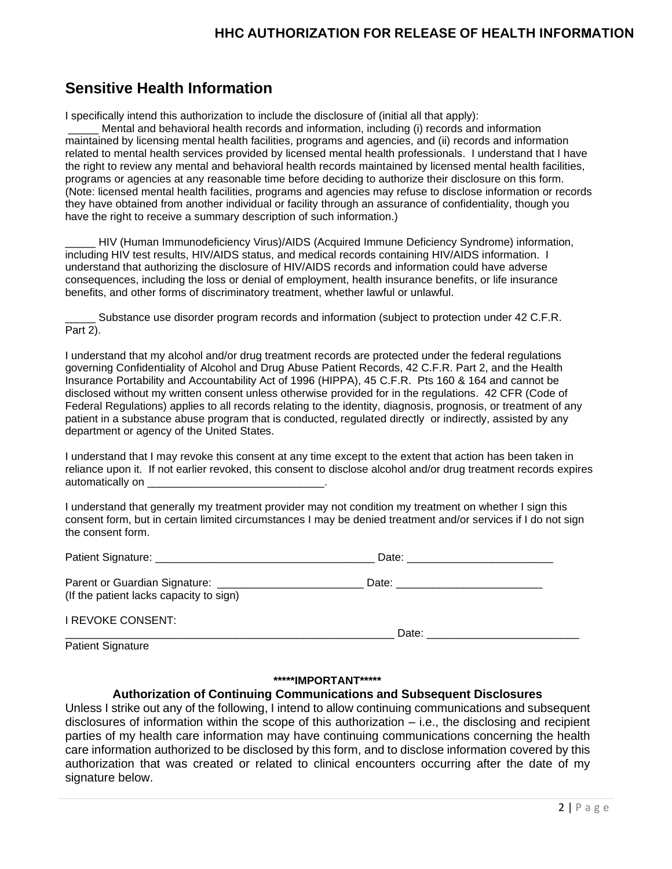### **HHC AUTHORIZATION FOR RELEASE OF HEALTH INFORMATION**

# **Sensitive Health Information**

I specifically intend this authorization to include the disclosure of (initial all that apply):

Mental and behavioral health records and information, including (i) records and information maintained by licensing mental health facilities, programs and agencies, and (ii) records and information related to mental health services provided by licensed mental health professionals. I understand that I have the right to review any mental and behavioral health records maintained by licensed mental health facilities, programs or agencies at any reasonable time before deciding to authorize their disclosure on this form. (Note: licensed mental health facilities, programs and agencies may refuse to disclose information or records they have obtained from another individual or facility through an assurance of confidentiality, though you have the right to receive a summary description of such information.)

HIV (Human Immunodeficiency Virus)/AIDS (Acquired Immune Deficiency Syndrome) information, including HIV test results, HIV/AIDS status, and medical records containing HIV/AIDS information. I understand that authorizing the disclosure of HIV/AIDS records and information could have adverse consequences, including the loss or denial of employment, health insurance benefits, or life insurance benefits, and other forms of discriminatory treatment, whether lawful or unlawful.

Substance use disorder program records and information (subject to protection under 42 C.F.R. Part 2).

I understand that my alcohol and/or drug treatment records are protected under the federal regulations governing Confidentiality of Alcohol and Drug Abuse Patient Records, 42 C.F.R. Part 2, and the Health Insurance Portability and Accountability Act of 1996 (HIPPA), 45 C.F.R. Pts 160 & 164 and cannot be disclosed without my written consent unless otherwise provided for in the regulations. 42 CFR (Code of Federal Regulations) applies to all records relating to the identity, diagnosis, prognosis, or treatment of any patient in a substance abuse program that is conducted, regulated directly or indirectly, assisted by any department or agency of the United States.

I understand that I may revoke this consent at any time except to the extent that action has been taken in reliance upon it. If not earlier revoked, this consent to disclose alcohol and/or drug treatment records expires automatically on

I understand that generally my treatment provider may not condition my treatment on whether I sign this consent form, but in certain limited circumstances I may be denied treatment and/or services if I do not sign the consent form.

| (If the patient lacks capacity to sign) |                                                                                                                                                                                                                                |  |
|-----------------------------------------|--------------------------------------------------------------------------------------------------------------------------------------------------------------------------------------------------------------------------------|--|
| <b>I REVOKE CONSENT:</b>                | Date: the contract of the contract of the contract of the contract of the contract of the contract of the contract of the contract of the contract of the contract of the contract of the contract of the contract of the cont |  |
| <b>Patient Signature</b>                |                                                                                                                                                                                                                                |  |

#### **\*\*\*\*\*IMPORTANT\*\*\*\*\***

### **Authorization of Continuing Communications and Subsequent Disclosures**

Unless I strike out any of the following, I intend to allow continuing communications and subsequent disclosures of information within the scope of this authorization – i.e., the disclosing and recipient parties of my health care information may have continuing communications concerning the health care information authorized to be disclosed by this form, and to disclose information covered by this authorization that was created or related to clinical encounters occurring after the date of my signature below.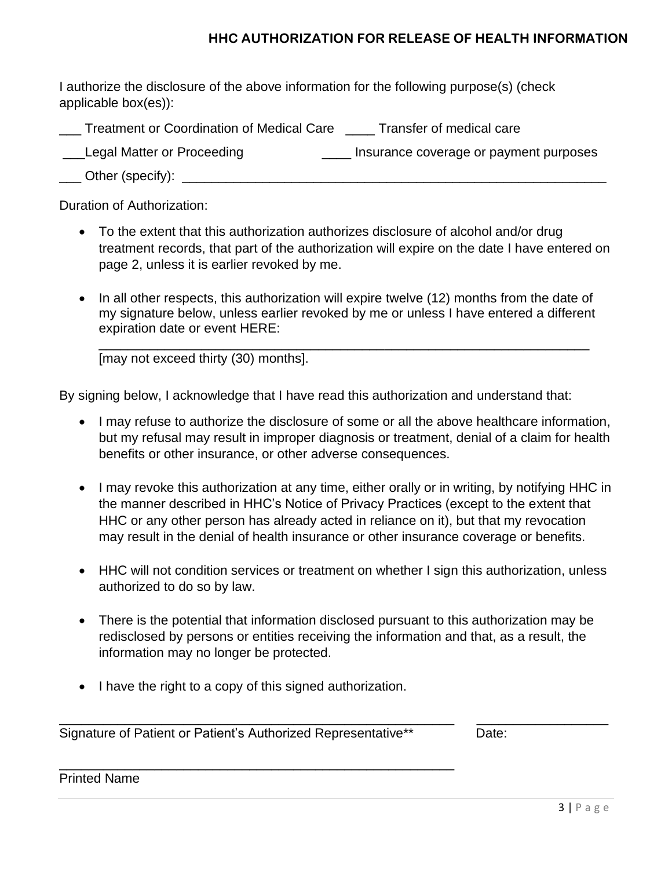### **HHC AUTHORIZATION FOR RELEASE OF HEALTH INFORMATION**

I authorize the disclosure of the above information for the following purpose(s) (check applicable box(es)):

\_\_\_ Treatment or Coordination of Medical Care \_\_\_\_ Transfer of medical care

**The Legal Matter or Proceeding The Constraint Coverage or payment purposes** 

\_\_\_ Other (specify): \_\_\_\_\_\_\_\_\_\_\_\_\_\_\_\_\_\_\_\_\_\_\_\_\_\_\_\_\_\_\_\_\_\_\_\_\_\_\_\_\_\_\_\_\_\_\_\_\_\_\_\_\_\_\_\_\_\_

Duration of Authorization:

- To the extent that this authorization authorizes disclosure of alcohol and/or drug treatment records, that part of the authorization will expire on the date I have entered on page 2, unless it is earlier revoked by me.
- In all other respects, this authorization will expire twelve (12) months from the date of my signature below, unless earlier revoked by me or unless I have entered a different expiration date or event HERE:

\_\_\_\_\_\_\_\_\_\_\_\_\_\_\_\_\_\_\_\_\_\_\_\_\_\_\_\_\_\_\_\_\_\_\_\_\_\_\_\_\_\_\_\_\_\_\_\_\_\_\_\_\_\_\_\_\_\_\_\_\_\_\_\_\_\_\_

[may not exceed thirty (30) months].

By signing below, I acknowledge that I have read this authorization and understand that:

- I may refuse to authorize the disclosure of some or all the above healthcare information, but my refusal may result in improper diagnosis or treatment, denial of a claim for health benefits or other insurance, or other adverse consequences.
- I may revoke this authorization at any time, either orally or in writing, by notifying HHC in the manner described in HHC's Notice of Privacy Practices (except to the extent that HHC or any other person has already acted in reliance on it), but that my revocation may result in the denial of health insurance or other insurance coverage or benefits.
- HHC will not condition services or treatment on whether I sign this authorization, unless authorized to do so by law.
- There is the potential that information disclosed pursuant to this authorization may be redisclosed by persons or entities receiving the information and that, as a result, the information may no longer be protected.

\_\_\_\_\_\_\_\_\_\_\_\_\_\_\_\_\_\_\_\_\_\_\_\_\_\_\_\_\_\_\_\_\_\_\_\_\_\_\_\_\_\_\_\_\_\_\_\_\_\_\_\_\_\_ \_\_\_\_\_\_\_\_\_\_\_\_\_\_\_\_\_\_

• I have the right to a copy of this signed authorization.

Signature of Patient or Patient's Authorized Representative\*\* Date:

\_\_\_\_\_\_\_\_\_\_\_\_\_\_\_\_\_\_\_\_\_\_\_\_\_\_\_\_\_\_\_\_\_\_\_\_\_\_\_\_\_\_\_\_\_\_\_\_\_\_\_\_\_\_

Printed Name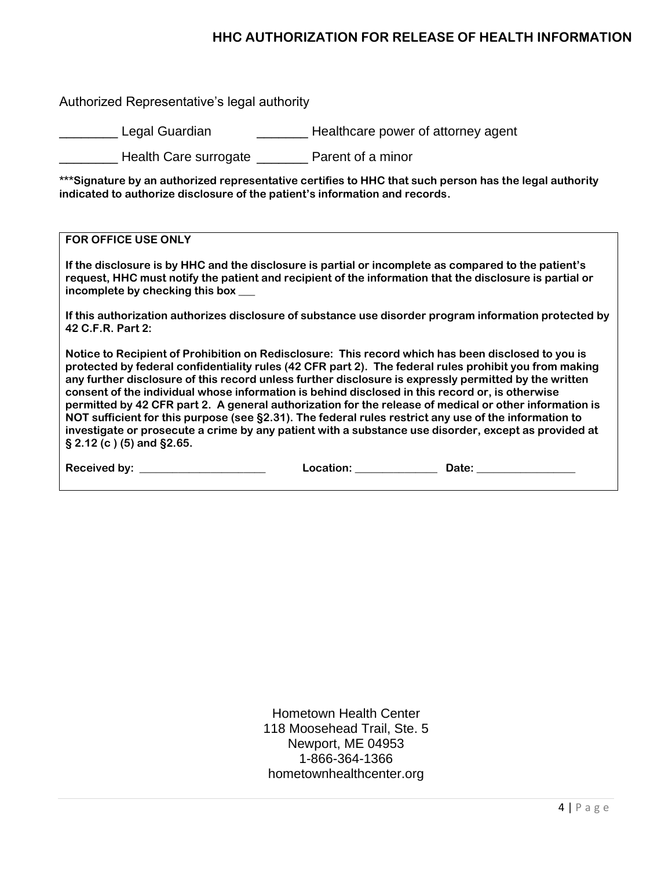### **HHC AUTHORIZATION FOR RELEASE OF HEALTH INFORMATION**

Authorized Representative's legal authority

Legal Guardian **Example 20** Healthcare power of attorney agent

\_\_\_\_\_\_\_\_ Health Care surrogate \_\_\_\_\_\_\_ Parent of a minor

**\*\*\*Signature by an authorized representative certifies to HHC that such person has the legal authority indicated to authorize disclosure of the patient's information and records.**

### **FOR OFFICE USE ONLY**

**If the disclosure is by HHC and the disclosure is partial or incomplete as compared to the patient's request, HHC must notify the patient and recipient of the information that the disclosure is partial or incomplete by checking this box \_\_\_**

**If this authorization authorizes disclosure of substance use disorder program information protected by 42 C.F.R. Part 2:**

**Notice to Recipient of Prohibition on Redisclosure: This record which has been disclosed to you is protected by federal confidentiality rules (42 CFR part 2). The federal rules prohibit you from making any further disclosure of this record unless further disclosure is expressly permitted by the written consent of the individual whose information is behind disclosed in this record or, is otherwise permitted by 42 CFR part 2. A general authorization for the release of medical or other information is NOT sufficient for this purpose (see §2.31). The federal rules restrict any use of the information to investigate or prosecute a crime by any patient with a substance use disorder, except as provided at § 2.12 (c ) (5) and §2.65.** 

| <b>Received by:</b> | Location: | )ate: |
|---------------------|-----------|-------|
|---------------------|-----------|-------|

Hometown Health Center 118 Moosehead Trail, Ste. 5 Newport, ME 04953 1-866-364-1366 hometownhealthcenter.org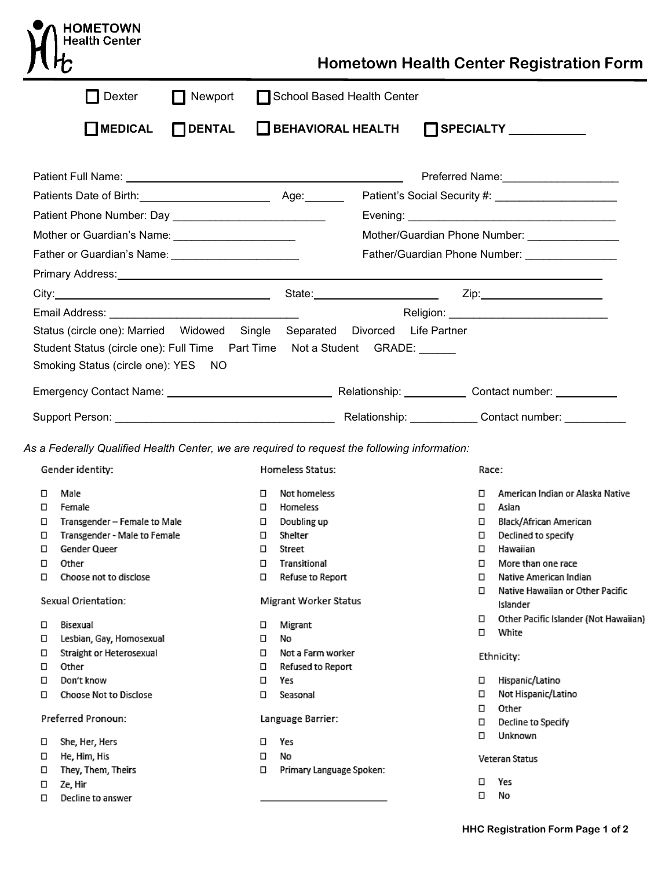|        | <b>HOMETOWN</b><br><b>Health Center</b>                                                                        |                 |                  |                          |                            |        | <b>Hometown Health Center Registration Form</b> |
|--------|----------------------------------------------------------------------------------------------------------------|-----------------|------------------|--------------------------|----------------------------|--------|-------------------------------------------------|
|        | Dexter                                                                                                         | $\prod$ Newport |                  |                          | School Based Health Center |        |                                                 |
|        | $\Box$ MEDICAL                                                                                                 | $\prod$ DENTAL  |                  |                          | SEHAVIORAL HEALTH          |        | SPECIALTY SPECIALTY                             |
|        |                                                                                                                |                 |                  |                          |                            |        |                                                 |
|        |                                                                                                                |                 |                  |                          |                            |        |                                                 |
|        |                                                                                                                |                 |                  |                          |                            |        |                                                 |
|        | Mother or Guardian's Name: _________________________                                                           |                 |                  |                          |                            |        | Mother/Guardian Phone Number:                   |
|        |                                                                                                                |                 |                  |                          |                            |        |                                                 |
|        | Father or Guardian's Name: ___________________________                                                         |                 |                  |                          |                            |        | Father/Guardian Phone Number:                   |
|        |                                                                                                                |                 |                  |                          |                            |        |                                                 |
|        |                                                                                                                |                 |                  |                          |                            |        |                                                 |
|        | Email Address: The Contract of the Contract of the Contract of the Contract of the Contract of the Contract of |                 |                  |                          |                            |        |                                                 |
|        | Status (circle one): Married Widowed Single Separated Divorced Life Partner                                    |                 |                  |                          |                            |        |                                                 |
|        | Student Status (circle one): Full Time Part Time Not a Student GRADE:                                          |                 |                  |                          |                            |        |                                                 |
|        | Smoking Status (circle one): YES NO                                                                            |                 |                  |                          |                            |        |                                                 |
|        |                                                                                                                |                 |                  |                          |                            |        |                                                 |
|        |                                                                                                                |                 |                  |                          |                            |        |                                                 |
|        |                                                                                                                |                 |                  |                          |                            |        |                                                 |
|        | As a Federally Qualified Health Center, we are required to request the following information:                  |                 |                  |                          |                            |        |                                                 |
|        | Gender identity:                                                                                               |                 |                  | Homeless Status:         |                            |        | Race:                                           |
| П      | Male                                                                                                           |                 | п                | Not homeless             |                            |        | American Indian or Alaska Native                |
| □      | Female                                                                                                         |                 | ◻                | Homeless                 |                            | ◻      | Asian                                           |
| □      | Transgender - Female to Male                                                                                   |                 | ◻                | Doubling up              |                            | □      | Black/African American                          |
| □<br>□ | Transgender - Male to Female<br><b>Gender Queer</b>                                                            |                 | ◻<br>□           | Shelter<br>Street        |                            | □<br>□ | Declined to specify<br>Hawaiian                 |
| $\Box$ | Other                                                                                                          |                 | $\Box$           | Transitional             |                            | □      | More than one race                              |
| □      | Choose not to disclose                                                                                         |                 | $\Box$           | Refuse to Report         |                            | □      | Native American Indian                          |
|        |                                                                                                                |                 |                  |                          |                            | □      | Native Hawaiian or Other Pacific                |
|        | Sexual Orientation:                                                                                            |                 |                  | Migrant Worker Status    |                            |        | Islander                                        |
| П      | Bisexual                                                                                                       |                 | □                | Migrant                  |                            | □<br>□ | Other Pacific Islander (Not Hawaiian)<br>White  |
| □      | Lesbian, Gay, Homosexual                                                                                       |                 | □                | No                       |                            |        |                                                 |
| □      | Straight or Heterosexual                                                                                       |                 | □                | Not a Farm worker        |                            |        | Ethnicity:                                      |
| □<br>□ | Other<br>Don't know                                                                                            |                 | $\Box$<br>$\Box$ | Refused to Report<br>Yes |                            | □      |                                                 |
| □      | <b>Choose Not to Disclose</b>                                                                                  |                 | □                | Seasonal                 |                            | □      | Hispanic/Latino<br>Not Hispanic/Latino          |
|        |                                                                                                                |                 |                  |                          |                            | □      | Other                                           |
|        | Preferred Pronoun:                                                                                             |                 |                  | Language Barrier:        |                            | $\Box$ | Decline to Specify                              |
| □      | She, Her, Hers                                                                                                 |                 | О                | Yes                      |                            | □      | Unknown                                         |
| □      | He, Him, His                                                                                                   |                 | □                | No                       |                            |        | Veteran Status                                  |
| □      | They, Them, Theirs                                                                                             |                 | □                | Primary Language Spoken: |                            |        |                                                 |
| □      | Ze, Hir                                                                                                        |                 |                  |                          |                            | □      | Yes                                             |
| П      | Decline to answer                                                                                              |                 |                  |                          |                            | □      | No                                              |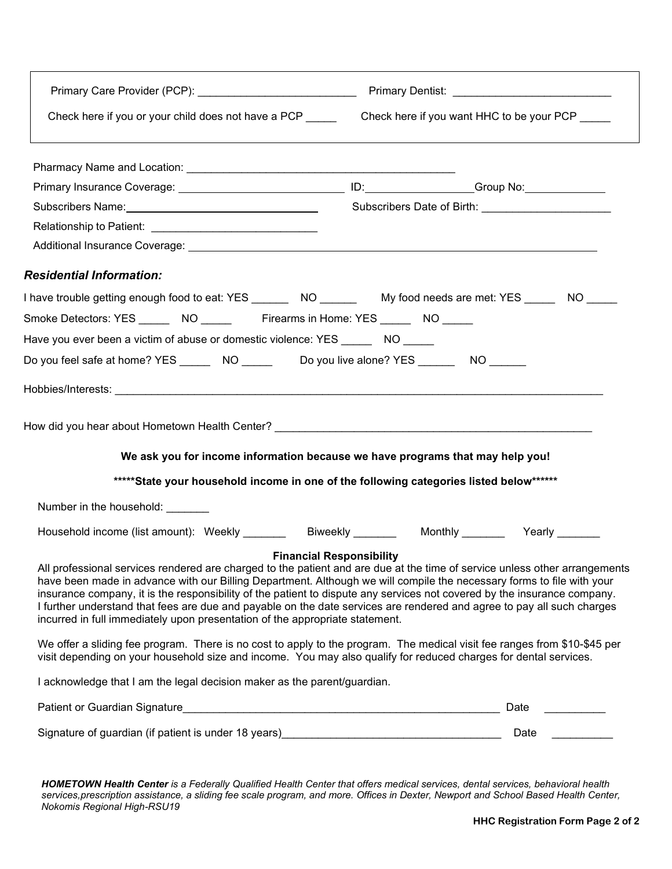| Check here if you or your child does not have a PCP ___________Check here if you want HHC to be your PCP |                                                                                                                                                                                                                                                                                                                                                                                                                                                                                                                                              |  |  |  |  |
|----------------------------------------------------------------------------------------------------------|----------------------------------------------------------------------------------------------------------------------------------------------------------------------------------------------------------------------------------------------------------------------------------------------------------------------------------------------------------------------------------------------------------------------------------------------------------------------------------------------------------------------------------------------|--|--|--|--|
|                                                                                                          |                                                                                                                                                                                                                                                                                                                                                                                                                                                                                                                                              |  |  |  |  |
|                                                                                                          |                                                                                                                                                                                                                                                                                                                                                                                                                                                                                                                                              |  |  |  |  |
| Subscribers Name: <u>contained and the subscribers</u>                                                   |                                                                                                                                                                                                                                                                                                                                                                                                                                                                                                                                              |  |  |  |  |
|                                                                                                          |                                                                                                                                                                                                                                                                                                                                                                                                                                                                                                                                              |  |  |  |  |
|                                                                                                          |                                                                                                                                                                                                                                                                                                                                                                                                                                                                                                                                              |  |  |  |  |
| <b>Residential Information:</b>                                                                          |                                                                                                                                                                                                                                                                                                                                                                                                                                                                                                                                              |  |  |  |  |
|                                                                                                          | I have trouble getting enough food to eat: YES ______ NO ______  My food needs are met: YES _____ NO _____                                                                                                                                                                                                                                                                                                                                                                                                                                   |  |  |  |  |
| Smoke Detectors: YES ________ NO ___________ Firearms in Home: YES _______ NO _____                      |                                                                                                                                                                                                                                                                                                                                                                                                                                                                                                                                              |  |  |  |  |
| Have you ever been a victim of abuse or domestic violence: YES ________ NO _____                         |                                                                                                                                                                                                                                                                                                                                                                                                                                                                                                                                              |  |  |  |  |
| Do you feel safe at home? YES _____ NO _____  Do you live alone? YES ______ NO ______                    |                                                                                                                                                                                                                                                                                                                                                                                                                                                                                                                                              |  |  |  |  |
|                                                                                                          |                                                                                                                                                                                                                                                                                                                                                                                                                                                                                                                                              |  |  |  |  |
|                                                                                                          |                                                                                                                                                                                                                                                                                                                                                                                                                                                                                                                                              |  |  |  |  |
|                                                                                                          |                                                                                                                                                                                                                                                                                                                                                                                                                                                                                                                                              |  |  |  |  |
|                                                                                                          | We ask you for income information because we have programs that may help you!                                                                                                                                                                                                                                                                                                                                                                                                                                                                |  |  |  |  |
|                                                                                                          | ******State your household income in one of the following categories listed below *******                                                                                                                                                                                                                                                                                                                                                                                                                                                    |  |  |  |  |
| Number in the household: _______                                                                         |                                                                                                                                                                                                                                                                                                                                                                                                                                                                                                                                              |  |  |  |  |
|                                                                                                          | Household income (list amount): Weekly ________ Biweekly _______ Monthly ______ Yearly                                                                                                                                                                                                                                                                                                                                                                                                                                                       |  |  |  |  |
| incurred in full immediately upon presentation of the appropriate statement.                             | <b>Financial Responsibility</b><br>All professional services rendered are charged to the patient and are due at the time of service unless other arrangements<br>have been made in advance with our Billing Department. Although we will compile the necessary forms to file with your<br>insurance company, it is the responsibility of the patient to dispute any services not covered by the insurance company.<br>I further understand that fees are due and payable on the date services are rendered and agree to pay all such charges |  |  |  |  |
|                                                                                                          | We offer a sliding fee program. There is no cost to apply to the program. The medical visit fee ranges from \$10-\$45 per<br>visit depending on your household size and income. You may also qualify for reduced charges for dental services.                                                                                                                                                                                                                                                                                                |  |  |  |  |
| I acknowledge that I am the legal decision maker as the parent/guardian.                                 |                                                                                                                                                                                                                                                                                                                                                                                                                                                                                                                                              |  |  |  |  |
|                                                                                                          | Date                                                                                                                                                                                                                                                                                                                                                                                                                                                                                                                                         |  |  |  |  |
| Signature of guardian (if patient is under 18 years)____________________________                         | Date                                                                                                                                                                                                                                                                                                                                                                                                                                                                                                                                         |  |  |  |  |
|                                                                                                          |                                                                                                                                                                                                                                                                                                                                                                                                                                                                                                                                              |  |  |  |  |

*HOMETOWN Health Center is a Federally Qualified Health Center that offers medical services, dental services, behavioral health services,prescription assistance, a sliding fee scale program, and more. Offices in Dexter, Newport and School Based Health Center, Nokomis Regional High-RSU19*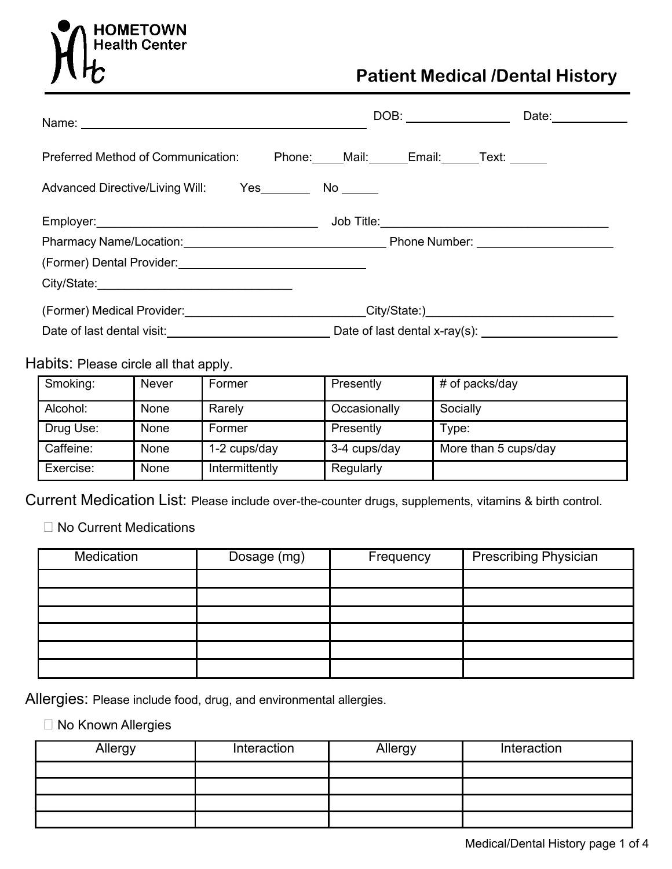# **HOMETOWN**<br>Health Center

# **Patient Medical /Dental History**

| Name: Name:                                                                                          |                           | Date: __________ |
|------------------------------------------------------------------------------------------------------|---------------------------|------------------|
| Preferred Method of Communication:                                                                   | Phone: Mail: Email: Text: |                  |
| Advanced Directive/Living Will: Yes No                                                               |                           |                  |
|                                                                                                      |                           |                  |
|                                                                                                      |                           |                  |
| (Former) Dental Provider:<br><u> Commernic Dental Provider:</u>                                      |                           |                  |
|                                                                                                      |                           |                  |
| (Former) Medical Provider: _____________________________City/State:)________________________________ |                           |                  |
| Date of last dental visit: Date of last dental x-ray(s):                                             |                           |                  |

Habits: Please circle all that apply.

| Smoking:  | <b>Never</b> | Former         | Presently    | # of packs/day       |
|-----------|--------------|----------------|--------------|----------------------|
| Alcohol:  | <b>None</b>  | Rarely         | Occasionally | Socially             |
| Drug Use: | None         | Former         | Presently    | Type:                |
| Caffeine: | None         | 1-2 cups/day   | 3-4 cups/day | More than 5 cups/day |
| Exercise: | None         | Intermittently | Regularly    |                      |

Current Medication List: Please include over-the-counter drugs, supplements, vitamins & birth control.

□ No Current Medications

| Medication | Dosage (mg) | Frequency | <b>Prescribing Physician</b> |
|------------|-------------|-----------|------------------------------|
|            |             |           |                              |
|            |             |           |                              |
|            |             |           |                              |
|            |             |           |                              |
|            |             |           |                              |
|            |             |           |                              |

Allergies: Please include food, drug, and environmental allergies.

□ No Known Allergies

| Allergy | Interaction | Allergy | Interaction |
|---------|-------------|---------|-------------|
|         |             |         |             |
|         |             |         |             |
|         |             |         |             |
|         |             |         |             |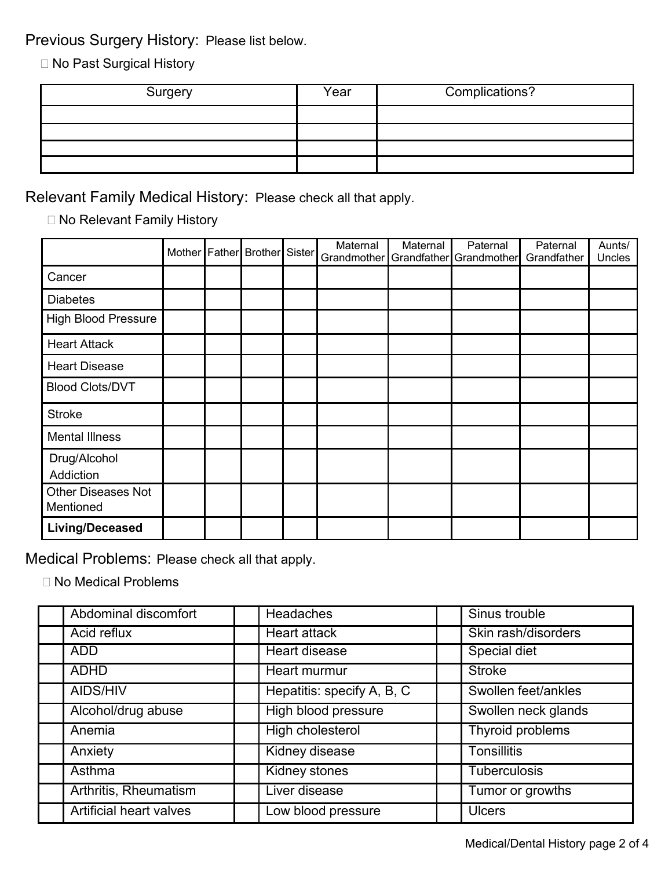Previous Surgery History: Please list below.

□ No Past Surgical History

| Surgery | Year | Complications? |
|---------|------|----------------|
|         |      |                |
|         |      |                |
|         |      |                |
|         |      |                |

Relevant Family Medical History: Please check all that apply.

□ No Relevant Family History

|                                        |  | Mother Father Brother Sister | Maternal<br>Grandmother | Maternal | Paternal<br>Grandfather Grandmother | Paternal<br>Grandfather | Aunts/<br>Uncles |
|----------------------------------------|--|------------------------------|-------------------------|----------|-------------------------------------|-------------------------|------------------|
| Cancer                                 |  |                              |                         |          |                                     |                         |                  |
| <b>Diabetes</b>                        |  |                              |                         |          |                                     |                         |                  |
| <b>High Blood Pressure</b>             |  |                              |                         |          |                                     |                         |                  |
| <b>Heart Attack</b>                    |  |                              |                         |          |                                     |                         |                  |
| <b>Heart Disease</b>                   |  |                              |                         |          |                                     |                         |                  |
| <b>Blood Clots/DVT</b>                 |  |                              |                         |          |                                     |                         |                  |
| <b>Stroke</b>                          |  |                              |                         |          |                                     |                         |                  |
| <b>Mental Illness</b>                  |  |                              |                         |          |                                     |                         |                  |
| Drug/Alcohol<br>Addiction              |  |                              |                         |          |                                     |                         |                  |
| <b>Other Diseases Not</b><br>Mentioned |  |                              |                         |          |                                     |                         |                  |
| <b>Living/Deceased</b>                 |  |                              |                         |          |                                     |                         |                  |

Medical Problems: Please check all that apply.

No Medical Problems

| Abdominal discomfort           | <b>Headaches</b>           | Sinus trouble       |
|--------------------------------|----------------------------|---------------------|
| Acid reflux                    | <b>Heart attack</b>        | Skin rash/disorders |
| <b>ADD</b>                     | <b>Heart disease</b>       | Special diet        |
| <b>ADHD</b>                    | Heart murmur               | <b>Stroke</b>       |
| AIDS/HIV                       | Hepatitis: specify A, B, C | Swollen feet/ankles |
| Alcohol/drug abuse             | High blood pressure        | Swollen neck glands |
| Anemia                         | <b>High cholesterol</b>    | Thyroid problems    |
| Anxiety                        | <b>Kidney disease</b>      | <b>Tonsillitis</b>  |
| Asthma                         | <b>Kidney stones</b>       | <b>Tuberculosis</b> |
| Arthritis, Rheumatism          | Liver disease              | Tumor or growths    |
| <b>Artificial heart valves</b> | Low blood pressure         | <b>Ulcers</b>       |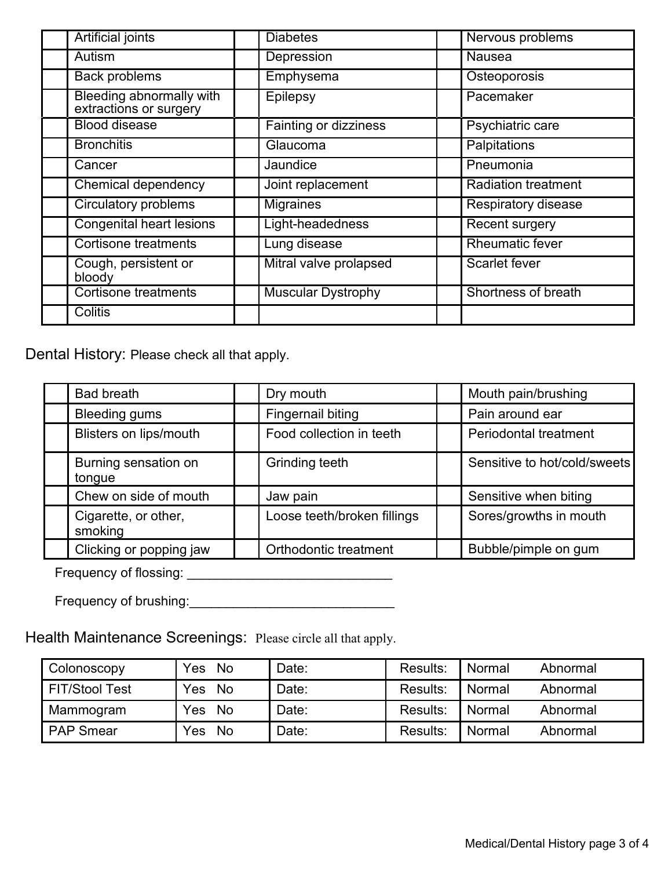| <b>Artificial joints</b>                                  | <b>Diabetes</b>              | Nervous problems           |
|-----------------------------------------------------------|------------------------------|----------------------------|
| Autism                                                    | Depression                   | <b>Nausea</b>              |
| <b>Back problems</b>                                      | Emphysema                    | Osteoporosis               |
| <b>Bleeding abnormally with</b><br>extractions or surgery | <b>Epilepsy</b>              | Pacemaker                  |
| <b>Blood disease</b>                                      | <b>Fainting or dizziness</b> | Psychiatric care           |
| <b>Bronchitis</b>                                         | Glaucoma                     | Palpitations               |
| Cancer                                                    | Jaundice                     | Pneumonia                  |
| <b>Chemical dependency</b>                                | Joint replacement            | <b>Radiation treatment</b> |
| <b>Circulatory problems</b>                               | <b>Migraines</b>             | Respiratory disease        |
| <b>Congenital heart lesions</b>                           | Light-headedness             | Recent surgery             |
| Cortisone treatments                                      | Lung disease                 | <b>Rheumatic fever</b>     |
| Cough, persistent or<br>bloody                            | Mitral valve prolapsed       | Scarlet fever              |
| <b>Cortisone treatments</b>                               | <b>Muscular Dystrophy</b>    | Shortness of breath        |
| <b>Colitis</b>                                            |                              |                            |

Dental History: Please check all that apply.

| <b>Bad breath</b>               | Dry mouth                   | Mouth pain/brushing          |
|---------------------------------|-----------------------------|------------------------------|
| <b>Bleeding gums</b>            | Fingernail biting           | Pain around ear              |
| <b>Blisters on lips/mouth</b>   | Food collection in teeth    | <b>Periodontal treatment</b> |
| Burning sensation on<br>tongue  | Grinding teeth              | Sensitive to hot/cold/sweets |
| Chew on side of mouth           | Jaw pain                    | Sensitive when biting        |
| Cigarette, or other,<br>smoking | Loose teeth/broken fillings | Sores/growths in mouth       |
| Clicking or popping jaw         | Orthodontic treatment       | Bubble/pimple on gum         |

Frequency of flossing: \_\_\_\_\_\_\_\_\_\_\_\_\_\_\_\_\_\_\_\_\_\_\_\_\_\_\_\_

Frequency of brushing:\_\_\_\_\_\_\_\_\_\_\_\_\_\_\_\_\_\_\_\_\_\_\_\_\_\_\_\_

Health Maintenance Screenings: Please circle all that apply.

| Colonoscopy      | Yes<br><b>No</b> | Date: | Results: | Normal | Abnormal |
|------------------|------------------|-------|----------|--------|----------|
| FIT/Stool Test   | Yes<br><b>No</b> | Date: | Results: | Normal | Abnormal |
| Mammogram        | <b>No</b><br>Yes | Date: | Results: | Normal | Abnormal |
| <b>PAP Smear</b> | <b>No</b><br>Yes | Date: | Results: | Normal | Abnormal |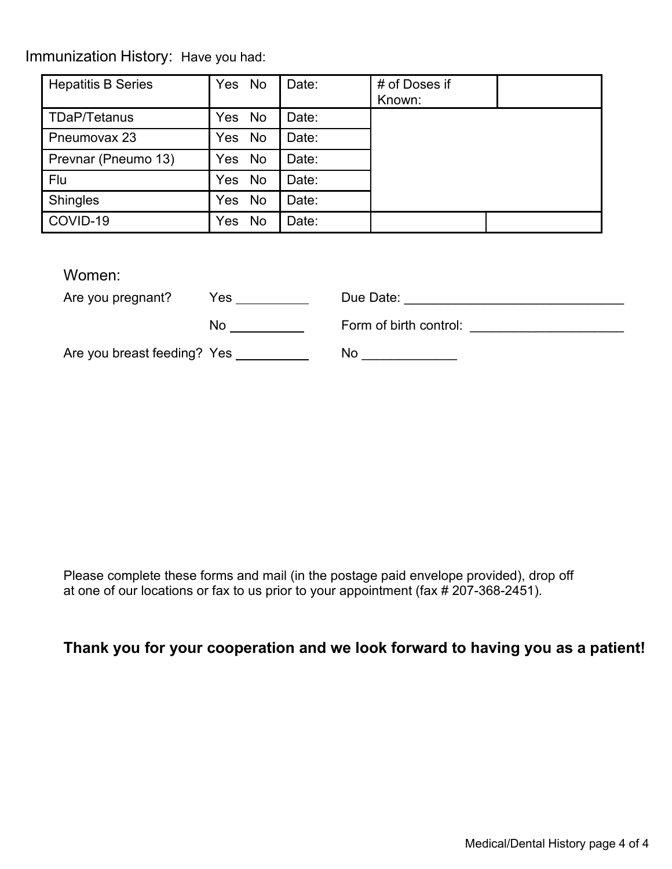Immunization History: Have you had:

| <b>Hepatitis B Series</b> | Yes No           | Date: | # of Doses if<br>Known: |  |
|---------------------------|------------------|-------|-------------------------|--|
| <b>TDaP/Tetanus</b>       | Yes No           | Date: |                         |  |
| Pneumovax 23              | Yes No           | Date: |                         |  |
| Prevnar (Pneumo 13)       | Yes No           | Date: |                         |  |
| Flu                       | Yes No           | Date: |                         |  |
| Shingles                  | No<br><b>Yes</b> | Date: |                         |  |
| COVID-19                  | No<br>Yes        | Date: |                         |  |

Women:

| Are you pregnant?           | Yes | Due Date:              |
|-----------------------------|-----|------------------------|
|                             | No  | Form of birth control: |
| Are you breast feeding? Yes |     | No                     |

Please complete these forms and mail (in the postage paid envelope provided), drop off at one of our locations or fax to us prior to your appointment (fax # 207-368-2451).

# **Thank you for your cooperation and we look forward to having you as a patient!**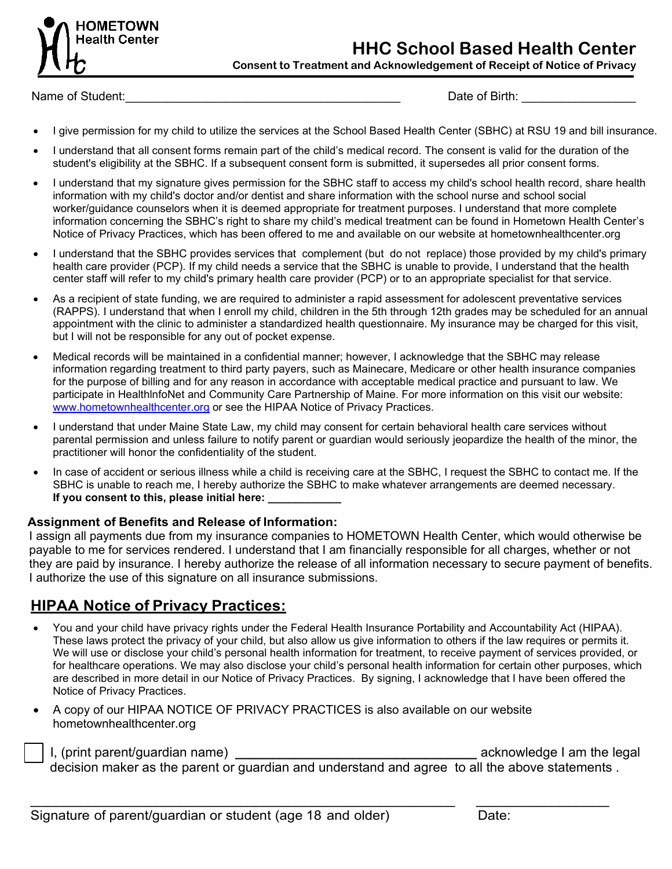

# **HHC School Based Health Center**

**Consent to Treatment and Acknowledgement of Receipt of Notice of Privacy**

Name of Student:  $\Box$ 

- I give permission for my child to utilize the services at the School Based Health Center (SBHC) at RSU 19 and bill insurance.
- I understand that all consent forms remain part of the child's medical record. The consent is valid for the duration of the student's eligibility at the SBHC. If a subsequent consent form is submitted, it supersedes all prior consent forms.
- I understand that my signature gives permission for the SBHC staff to access my child's school health record, share health information with my child's doctor and/or dentist and share information with the school nurse and school social worker/guidance counselors when it is deemed appropriate for treatment purposes. I understand that more complete information concerning the SBHC's right to share my child's medical treatment can be found in Hometown Health Center's Notice of Privacy Practices, which has been offered to me and available on our website at hometownhealthcenter.org
- I understand that the SBHC provides services that complement (but do not replace) those provided by my child's primary health care provider (PCP). If my child needs a service that the SBHC is unable to provide, I understand that the health center staff will refer to my child's primary health care provider (PCP) or to an appropriate specialist for that service.
- As a recipient of state funding, we are required to administer a rapid assessment for adolescent preventative services (RAPPS). I understand that when I enroll my child, children in the 5th through 12th grades may be scheduled for an annual appointment with the clinic to administer a standardized health questionnaire. My insurance may be charged for this visit, but I will not be responsible for any out of pocket expense.
- Medical records will be maintained in a confidential manner; however, I acknowledge that the SBHC may release information regarding treatment to third party payers, such as Mainecare, Medicare or other health insurance companies for the purpose of billing and for any reason in accordance with acceptable medical practice and pursuant to law. We participate in HealthlnfoNet and Community Care Partnership of Maine. For more information on this visit our website: [www.hometownhealthcenter.org](http://www.hometownhealthcenter.org/) or see the HIPAA Notice of Privacy Practices.
- I understand that under Maine State Law, my child may consent for certain behavioral health care services without parental permission and unless failure to notify parent or guardian would seriously jeopardize the health of the minor, the practitioner will honor the confidentiality of the student.
- In case of accident or serious illness while a child is receiving care at the SBHC, I request the SBHC to contact me. If the SBHC is unable to reach me, I hereby authorize the SBHC to make whatever arrangements are deemed necessary. If you consent to this, please initial here:

### **Assignment of Benefits and Release of Information:**

I assign all payments due from my insurance companies to HOMETOWN Health Center, which would otherwise be payable to me for services rendered. I understand that I am financially responsible for all charges, whether or not they are paid by insurance. I hereby authorize the release of all information necessary to secure payment of benefits. I authorize the use of this signature on all insurance submissions.

## **HIPAA Notice of Privacy Practices:**

- You and your child have privacy rights under the Federal Health Insurance Portability and Accountability Act (HIPAA). These laws protect the privacy of your child, but also allow us give information to others if the law requires or permits it. We will use or disclose your child's personal health information for treatment, to receive payment of services provided, or for healthcare operations. We may also disclose your child's personal health information for certain other purposes, which are described in more detail in our Notice of Privacy Practices. By signing, I acknowledge that I have been offered the Notice of Privacy Practices.
- A copy of our HIPAA NOTICE OF PRIVACY PRACTICES is also available on our website hometownhealthcenter.org

 I, (print parent/guardian name) **\_\_\_\_\_\_\_\_\_\_\_\_\_\_\_\_\_\_\_\_\_\_\_\_\_\_\_\_\_\_\_\_\_** acknowledge I am the legal decision maker as the parent or guardian and understand and agree to all the above statements .

 $\_$  ,  $\_$  ,  $\_$  ,  $\_$  ,  $\_$  ,  $\_$  ,  $\_$  ,  $\_$  ,  $\_$  ,  $\_$  ,  $\_$  ,  $\_$  ,  $\_$  ,  $\_$  ,  $\_$  ,  $\_$  ,  $\_$  ,  $\_$  ,  $\_$  ,  $\_$  ,  $\_$  ,  $\_$  ,  $\_$  ,  $\_$  ,  $\_$  ,  $\_$  ,  $\_$  ,  $\_$  ,  $\_$  ,  $\_$  ,  $\_$  ,  $\_$  ,  $\_$  ,  $\_$  ,  $\_$  ,  $\_$  ,  $\_$  ,